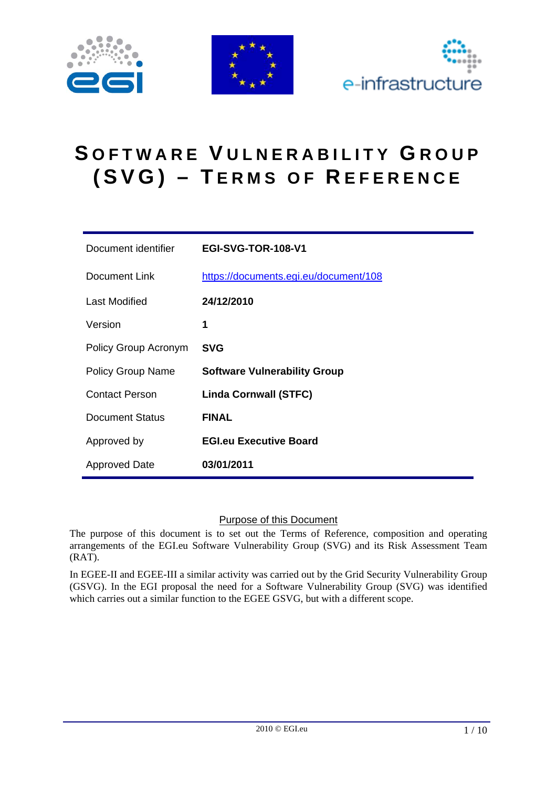





# **S OFTWARE V ULNERABILITY G ROUP (SVG) – T ERMS OF R EFERENCE**

| Document identifier      | <b>EGI-SVG-TOR-108-V1</b>             |
|--------------------------|---------------------------------------|
| Document Link            | https://documents.egi.eu/document/108 |
| Last Modified            | 24/12/2010                            |
| Version                  | 1                                     |
| Policy Group Acronym     | <b>SVG</b>                            |
| <b>Policy Group Name</b> | <b>Software Vulnerability Group</b>   |
| <b>Contact Person</b>    | <b>Linda Cornwall (STFC)</b>          |
| Document Status          | <b>FINAL</b>                          |
| Approved by              | <b>EGI.eu Executive Board</b>         |
| <b>Approved Date</b>     | 03/01/2011                            |

#### Purpose of this Document

The purpose of this document is to set out the Terms of Reference, composition and operating arrangements of the EGI.eu Software Vulnerability Group (SVG) and its Risk Assessment Team (RAT).

In EGEE-II and EGEE-III a similar activity was carried out by the Grid Security Vulnerability Group (GSVG). In the EGI proposal the need for a Software Vulnerability Group (SVG) was identified which carries out a similar function to the EGEE GSVG, but with a different scope.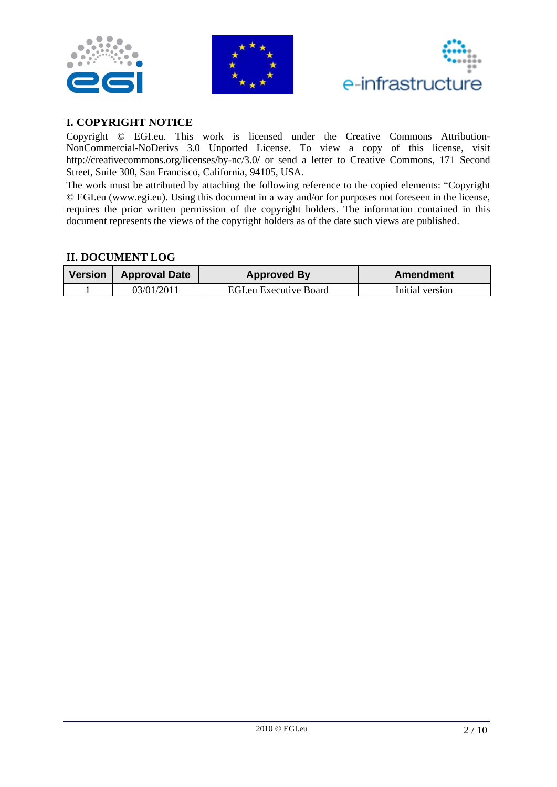





### **I. COPYRIGHT NOTICE**

Copyright © EGI.eu. This work is licensed under the Creative Commons Attribution-NonCommercial-NoDerivs 3.0 Unported License. To view a copy of this license, visit http://creativecommons.org/licenses/by-nc/3.0/ or send a letter to Creative Commons, 171 Second Street, Suite 300, San Francisco, California, 94105, USA.

The work must be attributed by attaching the following reference to the copied elements: "Copyright © EGI.eu (www.egi.eu). Using this document in a way and/or for purposes not foreseen in the license, requires the prior written permission of the copyright holders. The information contained in this document represents the views of the copyright holders as of the date such views are published.

### **II. DOCUMENT LOG**

| Version   Approval Date | <b>Approved By</b>            | Amendment       |
|-------------------------|-------------------------------|-----------------|
| 03/01/2011              | <b>EGI.eu Executive Board</b> | Initial version |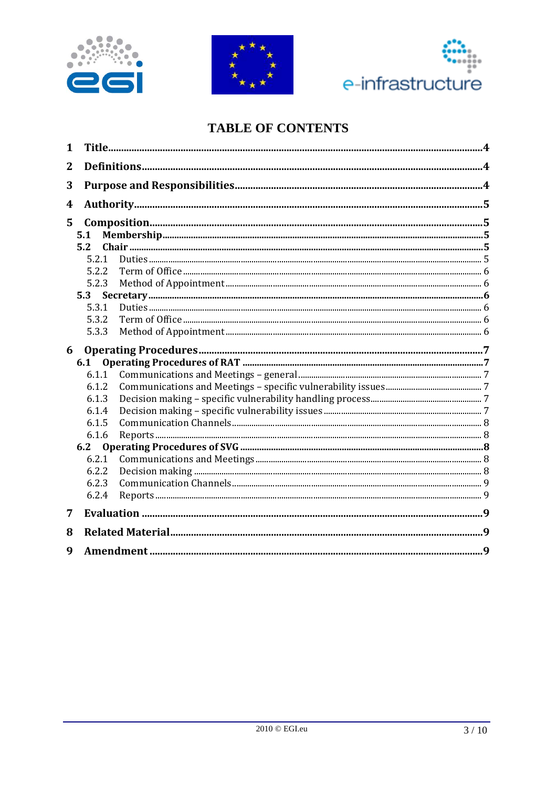





# **TABLE OF CONTENTS**

| 1              |       |  |
|----------------|-------|--|
| $\overline{2}$ |       |  |
| 3              |       |  |
| 4              |       |  |
| 5              |       |  |
|                | 5.1   |  |
|                | 5.2   |  |
|                | 5.2.1 |  |
|                | 5.2.2 |  |
|                | 5.2.3 |  |
|                | 5.3   |  |
|                | 5.3.1 |  |
|                | 5.3.2 |  |
|                | 5.3.3 |  |
|                |       |  |
| 6              |       |  |
|                | 6.1   |  |
|                | 6.1.1 |  |
|                | 6.1.2 |  |
|                | 6.1.3 |  |
|                | 6.1.4 |  |
|                | 6.1.5 |  |
|                | 6.1.6 |  |
|                | 6.2   |  |
|                | 6.2.1 |  |
|                | 6.2.2 |  |
|                | 6.2.3 |  |
|                | 6.2.4 |  |
| 7              |       |  |
| 8              |       |  |
| 9              |       |  |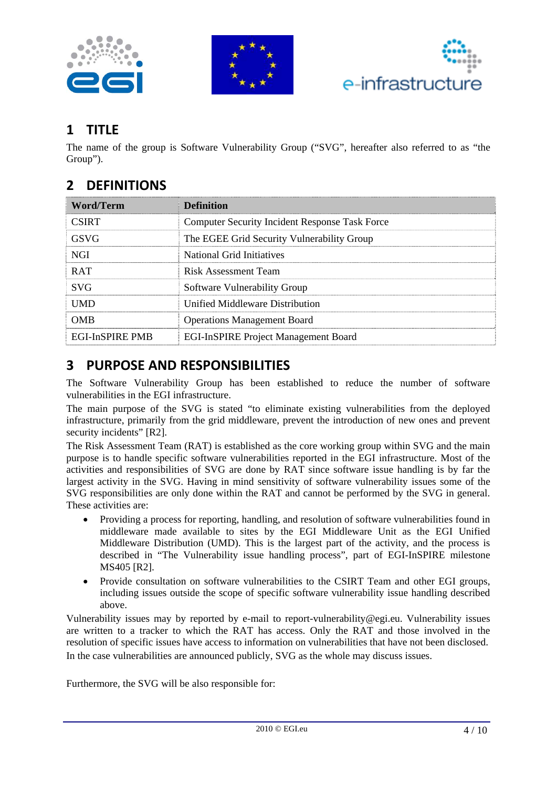





# **1 TITLE**

The name of the group is Software Vulnerability Group ("SVG", hereafter also referred to as "the Group").

# **2 DEFINITIONS**

| <b>Word/Term</b>       | <b>Definition</b>                                     |
|------------------------|-------------------------------------------------------|
| <b>CSIRT</b>           | <b>Computer Security Incident Response Task Force</b> |
| <b>GSVG</b>            | The EGEE Grid Security Vulnerability Group            |
| <b>NGI</b>             | National Grid Initiatives                             |
| <b>RAT</b>             | <b>Risk Assessment Team</b>                           |
| <b>SVG</b>             | Software Vulnerability Group                          |
| <b>IIMD</b>            | Unified Middleware Distribution                       |
| OMB                    | <b>Operations Management Board</b>                    |
| <b>EGI-InSPIRE PMB</b> | <b>EGI-InSPIRE Project Management Board</b>           |

## **3 PURPOSE AND RESPONSIBILITIES**

The Software Vulnerability Group has been established to reduce the number of software vulnerabilities in the EGI infrastructure.

The main purpose of the SVG is stated "to eliminate existing vulnerabilities from the deployed infrastructure, primarily from the grid middleware, prevent the introduction of new ones and prevent security incidents" [R2].

The Risk Assessment Team (RAT) is established as the core working group within SVG and the main purpose is to handle specific software vulnerabilities reported in the EGI infrastructure. Most of the activities and responsibilities of SVG are done by RAT since software issue handling is by far the largest activity in the SVG. Having in mind sensitivity of software vulnerability issues some of the SVG responsibilities are only done within the RAT and cannot be performed by the SVG in general. These activities are:

- Providing a process for reporting, handling, and resolution of software vulnerabilities found in middleware made available to sites by the EGI Middleware Unit as the EGI Unified Middleware Distribution (UMD). This is the largest part of the activity, and the process is described in "The Vulnerability issue handling process", part of EGI-InSPIRE milestone MS405 [R2].
- Provide consultation on software vulnerabilities to the CSIRT Team and other EGI groups, including issues outside the scope of specific software vulnerability issue handling described above.

Vulnerability issues may by reported by e-mail to report-vulnerability@egi.eu. Vulnerability issues are written to a tracker to which the RAT has access. Only the RAT and those involved in the resolution of specific issues have access to information on vulnerabilities that have not been disclosed. In the case vulnerabilities are announced publicly, SVG as the whole may discuss issues.

Furthermore, the SVG will be also responsible for: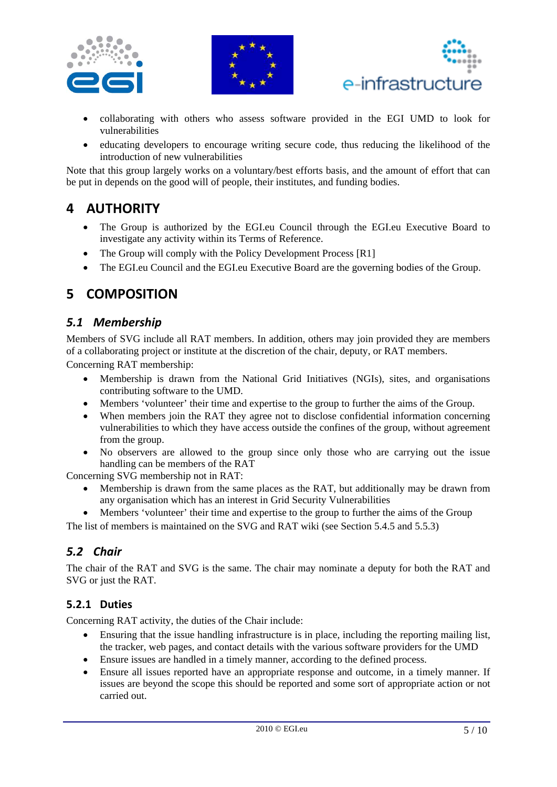





- collaborating with others who assess software provided in the EGI UMD to look for vulnerabilities
- educating developers to encourage writing secure code, thus reducing the likelihood of the introduction of new vulnerabilities

Note that this group largely works on a voluntary/best efforts basis, and the amount of effort that can be put in depends on the good will of people, their institutes, and funding bodies.

### **4 AUTHORITY**

- The Group is authorized by the EGI.eu Council through the EGI.eu Executive Board to investigate any activity within its Terms of Reference.
- The Group will comply with the Policy Development Process [R1]
- The EGI.eu Council and the EGI.eu Executive Board are the governing bodies of the Group.

### **5 COMPOSITION**

### *5.1 Membership*

Members of SVG include all RAT members. In addition, others may join provided they are members of a collaborating project or institute at the discretion of the chair, deputy, or RAT members.

Concerning RAT membership:

- Membership is drawn from the National Grid Initiatives (NGIs), sites, and organisations contributing software to the UMD.
- Members 'volunteer' their time and expertise to the group to further the aims of the Group.
- When members join the RAT they agree not to disclose confidential information concerning vulnerabilities to which they have access outside the confines of the group, without agreement from the group.
- No observers are allowed to the group since only those who are carrying out the issue handling can be members of the RAT

Concerning SVG membership not in RAT:

- Membership is drawn from the same places as the RAT, but additionally may be drawn from any organisation which has an interest in Grid Security Vulnerabilities
- Members 'volunteer' their time and expertise to the group to further the aims of the Group

The list of members is maintained on the SVG and RAT wiki (see Section 5.4.5 and 5.5.3)

### *5.2 Chair*

The chair of the RAT and SVG is the same. The chair may nominate a deputy for both the RAT and SVG or just the RAT.

### **5.2.1 Duties**

Concerning RAT activity, the duties of the Chair include:

- Ensuring that the issue handling infrastructure is in place, including the reporting mailing list, the tracker, web pages, and contact details with the various software providers for the UMD
- Ensure issues are handled in a timely manner, according to the defined process.
- Ensure all issues reported have an appropriate response and outcome, in a timely manner. If issues are beyond the scope this should be reported and some sort of appropriate action or not carried out.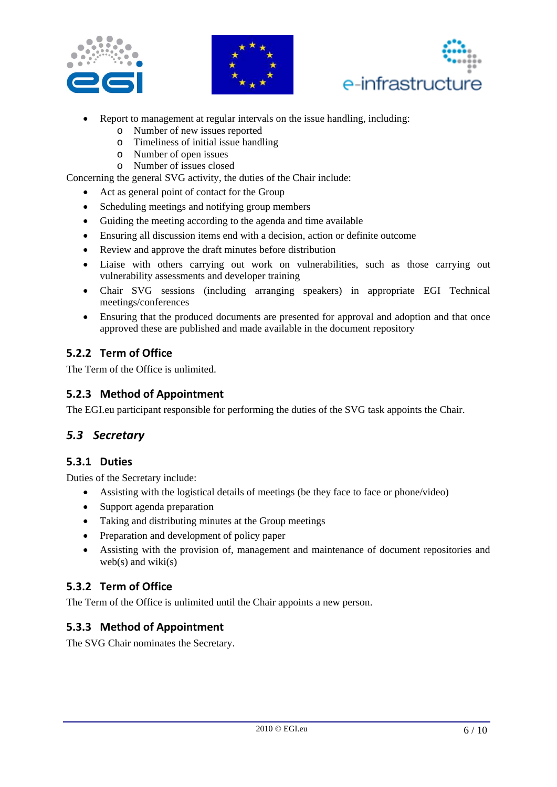





- Report to management at regular intervals on the issue handling, including:
	- o Number of new issues reported
	- o Timeliness of initial issue handling
	- o Number of open issues
	- o Number of issues closed

Concerning the general SVG activity, the duties of the Chair include:

- Act as general point of contact for the Group
- Scheduling meetings and notifying group members
- Guiding the meeting according to the agenda and time available
- Ensuring all discussion items end with a decision, action or definite outcome
- Review and approve the draft minutes before distribution
- Liaise with others carrying out work on vulnerabilities, such as those carrying out vulnerability assessments and developer training
- Chair SVG sessions (including arranging speakers) in appropriate EGI Technical meetings/conferences
- Ensuring that the produced documents are presented for approval and adoption and that once approved these are published and made available in the document repository

### **5.2.2 Term of Office**

The Term of the Office is unlimited.

### **5.2.3 Method of Appointment**

The EGI.eu participant responsible for performing the duties of the SVG task appoints the Chair.

### *5.3 Secretary*

#### **5.3.1 Duties**

Duties of the Secretary include:

- Assisting with the logistical details of meetings (be they face to face or phone/video)
- Support agenda preparation
- Taking and distributing minutes at the Group meetings
- Preparation and development of policy paper
- Assisting with the provision of, management and maintenance of document repositories and web(s) and wiki(s)

### **5.3.2 Term of Office**

The Term of the Office is unlimited until the Chair appoints a new person.

### **5.3.3 Method of Appointment**

The SVG Chair nominates the Secretary.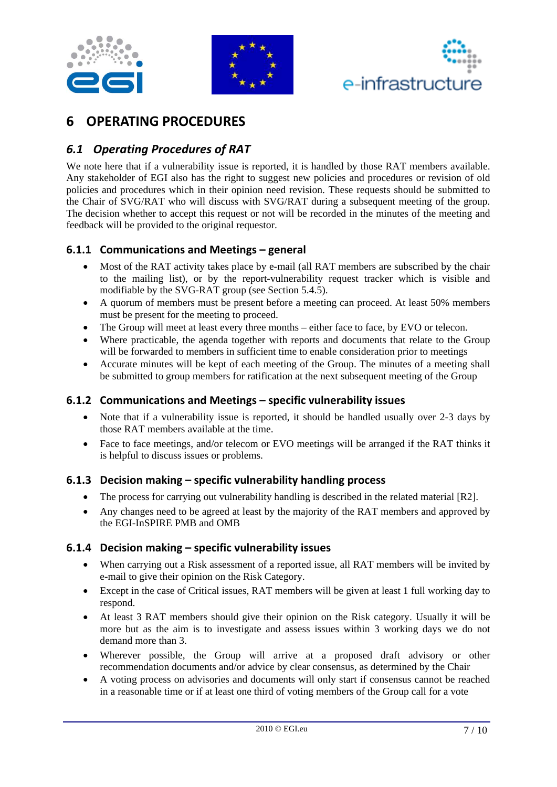





### **6 OPERATING PROCEDURES**

### *6.1 Operating Procedures of RAT*

We note here that if a vulnerability issue is reported, it is handled by those RAT members available. Any stakeholder of EGI also has the right to suggest new policies and procedures or revision of old policies and procedures which in their opinion need revision. These requests should be submitted to the Chair of SVG/RAT who will discuss with SVG/RAT during a subsequent meeting of the group. The decision whether to accept this request or not will be recorded in the minutes of the meeting and feedback will be provided to the original requestor.

### **6.1.1 Communications and Meetings – general**

- Most of the RAT activity takes place by e-mail (all RAT members are subscribed by the chair to the mailing list), or by the report-vulnerability request tracker which is visible and modifiable by the SVG-RAT group (see Section 5.4.5).
- A quorum of members must be present before a meeting can proceed. At least 50% members must be present for the meeting to proceed.
- The Group will meet at least every three months either face to face, by EVO or telecon.
- Where practicable, the agenda together with reports and documents that relate to the Group will be forwarded to members in sufficient time to enable consideration prior to meetings
- Accurate minutes will be kept of each meeting of the Group. The minutes of a meeting shall be submitted to group members for ratification at the next subsequent meeting of the Group

### **6.1.2 Communications and Meetings – specific vulnerability issues**

- Note that if a vulnerability issue is reported, it should be handled usually over 2-3 days by those RAT members available at the time.
- Face to face meetings, and/or telecom or EVO meetings will be arranged if the RAT thinks it is helpful to discuss issues or problems.

#### **6.1.3 Decision making – specific vulnerability handling process**

- The process for carrying out vulnerability handling is described in the related material [R2].
- Any changes need to be agreed at least by the majority of the RAT members and approved by the EGI-InSPIRE PMB and OMB

#### **6.1.4 Decision making – specific vulnerability issues**

- When carrying out a Risk assessment of a reported issue, all RAT members will be invited by e-mail to give their opinion on the Risk Category.
- Except in the case of Critical issues, RAT members will be given at least 1 full working day to respond.
- At least 3 RAT members should give their opinion on the Risk category. Usually it will be more but as the aim is to investigate and assess issues within 3 working days we do not demand more than 3.
- Wherever possible, the Group will arrive at a proposed draft advisory or other recommendation documents and/or advice by clear consensus, as determined by the Chair
- A voting process on advisories and documents will only start if consensus cannot be reached in a reasonable time or if at least one third of voting members of the Group call for a vote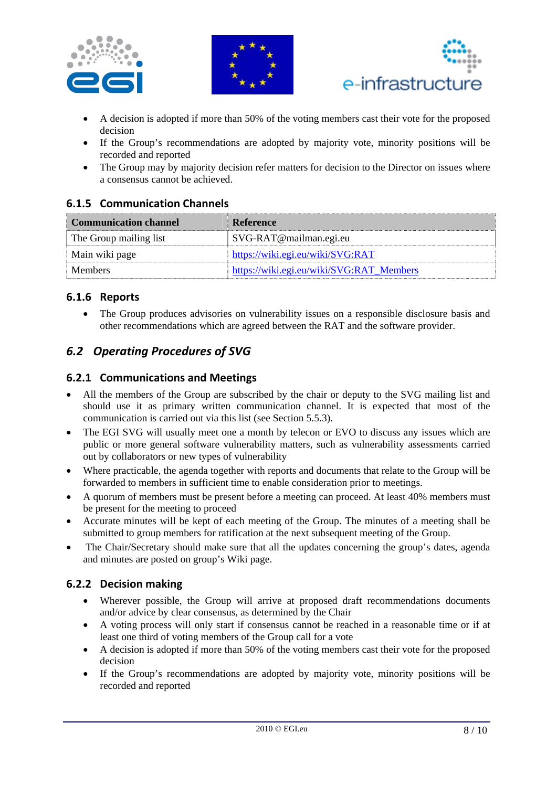





- A decision is adopted if more than 50% of the voting members cast their vote for the proposed decision
- If the Group's recommendations are adopted by majority vote, minority positions will be recorded and reported
- The Group may by majority decision refer matters for decision to the Director on issues where a consensus cannot be achieved.

### **6.1.5 Communication Channels**

| <b>Communication channel</b> | Reference                                |
|------------------------------|------------------------------------------|
| The Group mailing list       | SVG-RAT@mailman.egi.eu                   |
| Main wiki page               | https://wiki.egi.eu/wiki/SVG:RAT         |
| <b>Members</b>               | https://wiki.egi.eu/wiki/SVG:RAT Members |

### **6.1.6 Reports**

 The Group produces advisories on vulnerability issues on a responsible disclosure basis and other recommendations which are agreed between the RAT and the software provider.

### *6.2 Operating Procedures of SVG*

### **6.2.1 Communications and Meetings**

- All the members of the Group are subscribed by the chair or deputy to the SVG mailing list and should use it as primary written communication channel. It is expected that most of the communication is carried out via this list (see Section 5.5.3).
- The EGI SVG will usually meet one a month by telecon or EVO to discuss any issues which are public or more general software vulnerability matters, such as vulnerability assessments carried out by collaborators or new types of vulnerability
- Where practicable, the agenda together with reports and documents that relate to the Group will be forwarded to members in sufficient time to enable consideration prior to meetings.
- A quorum of members must be present before a meeting can proceed. At least 40% members must be present for the meeting to proceed
- Accurate minutes will be kept of each meeting of the Group. The minutes of a meeting shall be submitted to group members for ratification at the next subsequent meeting of the Group.
- The Chair/Secretary should make sure that all the updates concerning the group's dates, agenda and minutes are posted on group's Wiki page.

### **6.2.2 Decision making**

- Wherever possible, the Group will arrive at proposed draft recommendations documents and/or advice by clear consensus, as determined by the Chair
- A voting process will only start if consensus cannot be reached in a reasonable time or if at least one third of voting members of the Group call for a vote
- A decision is adopted if more than 50% of the voting members cast their vote for the proposed decision
- If the Group's recommendations are adopted by majority vote, minority positions will be recorded and reported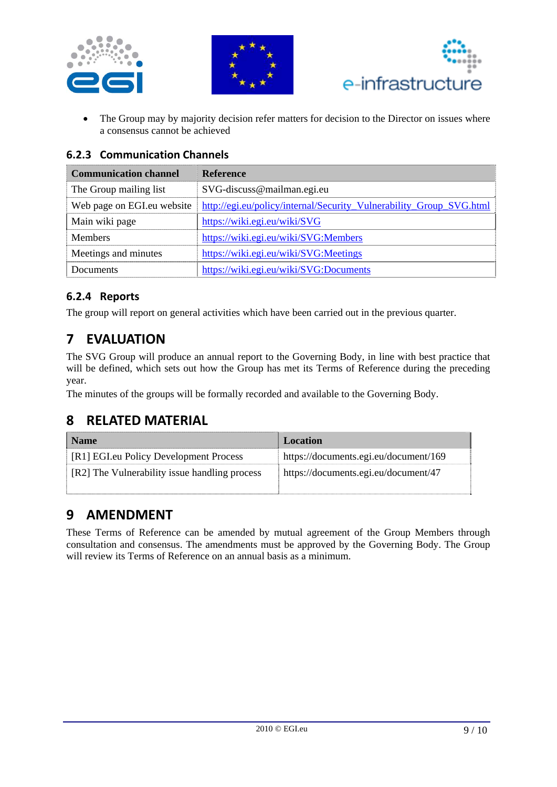





• The Group may by majority decision refer matters for decision to the Director on issues where a consensus cannot be achieved

### **6.2.3 Communication Channels**

| <b>Communication channel</b> | <b>Reference</b>                                                    |
|------------------------------|---------------------------------------------------------------------|
| The Group mailing list       | SVG-discuss@mailman.egi.eu                                          |
| Web page on EGI.eu website   | http://egi.eu/policy/internal/Security_Vulnerability_Group_SVG.html |
| Main wiki page               | https://wiki.egi.eu/wiki/SVG                                        |
| <b>Members</b>               | https://wiki.egi.eu/wiki/SVG:Members                                |
| Meetings and minutes         | https://wiki.egi.eu/wiki/SVG:Meetings                               |
| Documents                    | https://wiki.egi.eu/wiki/SVG:Documents                              |

### **6.2.4 Reports**

The group will report on general activities which have been carried out in the previous quarter.

# **7 EVALUATION**

The SVG Group will produce an annual report to the Governing Body, in line with best practice that will be defined, which sets out how the Group has met its Terms of Reference during the preceding year.

The minutes of the groups will be formally recorded and available to the Governing Body.

# **8 RELATED MATERIAL**

| <b>Name</b>                                   | Location                              |
|-----------------------------------------------|---------------------------------------|
| [R1] EGI.eu Policy Development Process        | https://documents.egi.eu/document/169 |
| [R2] The Vulnerability issue handling process | https://documents.egi.eu/document/47  |

### **9 AMENDMENT**

These Terms of Reference can be amended by mutual agreement of the Group Members through consultation and consensus. The amendments must be approved by the Governing Body. The Group will review its Terms of Reference on an annual basis as a minimum.